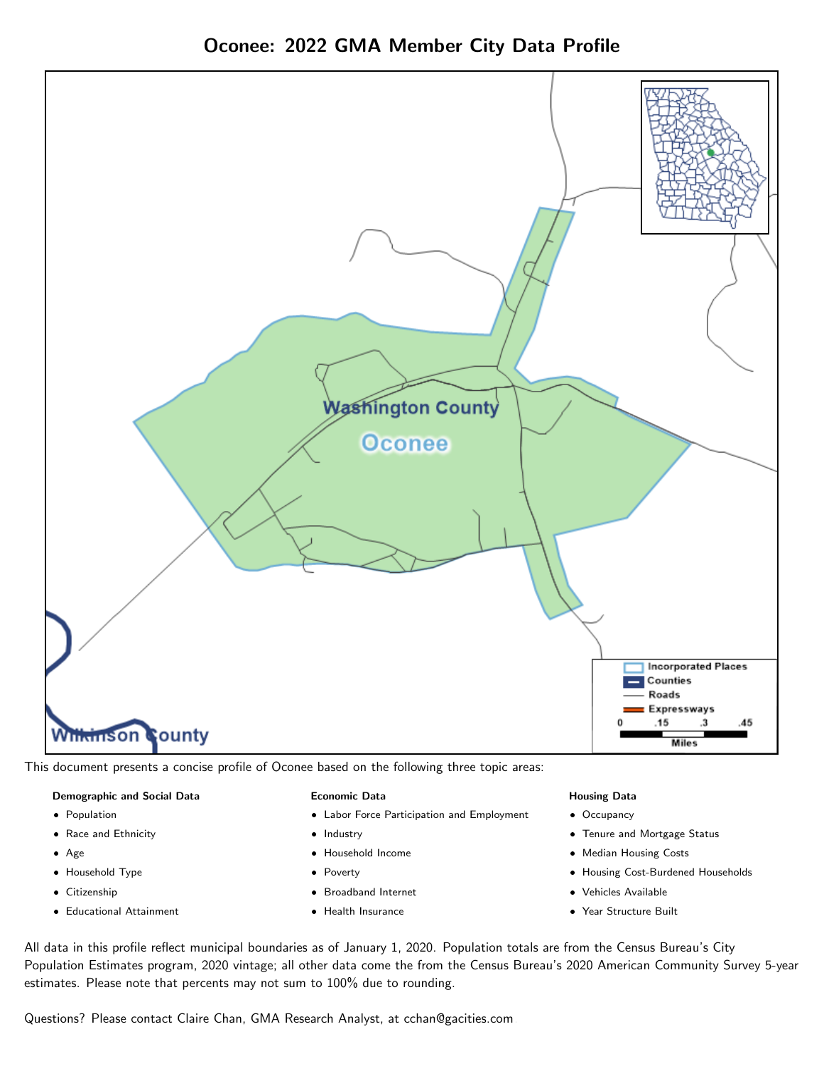

Oconee: 2022 GMA Member City Data Profile

This document presents a concise profile of Oconee based on the following three topic areas:

### Demographic and Social Data

- **•** Population
- Race and Ethnicity
- Age
- Household Type
- **Citizenship**
- Educational Attainment

#### Economic Data

- Labor Force Participation and Employment
- Industry
- Household Income
- Poverty
- Broadband Internet
- Health Insurance

#### Housing Data

- Occupancy
- Tenure and Mortgage Status
- Median Housing Costs
- Housing Cost-Burdened Households
- Vehicles Available
- Year Structure Built

All data in this profile reflect municipal boundaries as of January 1, 2020. Population totals are from the Census Bureau's City Population Estimates program, 2020 vintage; all other data come the from the Census Bureau's 2020 American Community Survey 5-year estimates. Please note that percents may not sum to 100% due to rounding.

Questions? Please contact Claire Chan, GMA Research Analyst, at [cchan@gacities.com.](mailto:cchan@gacities.com)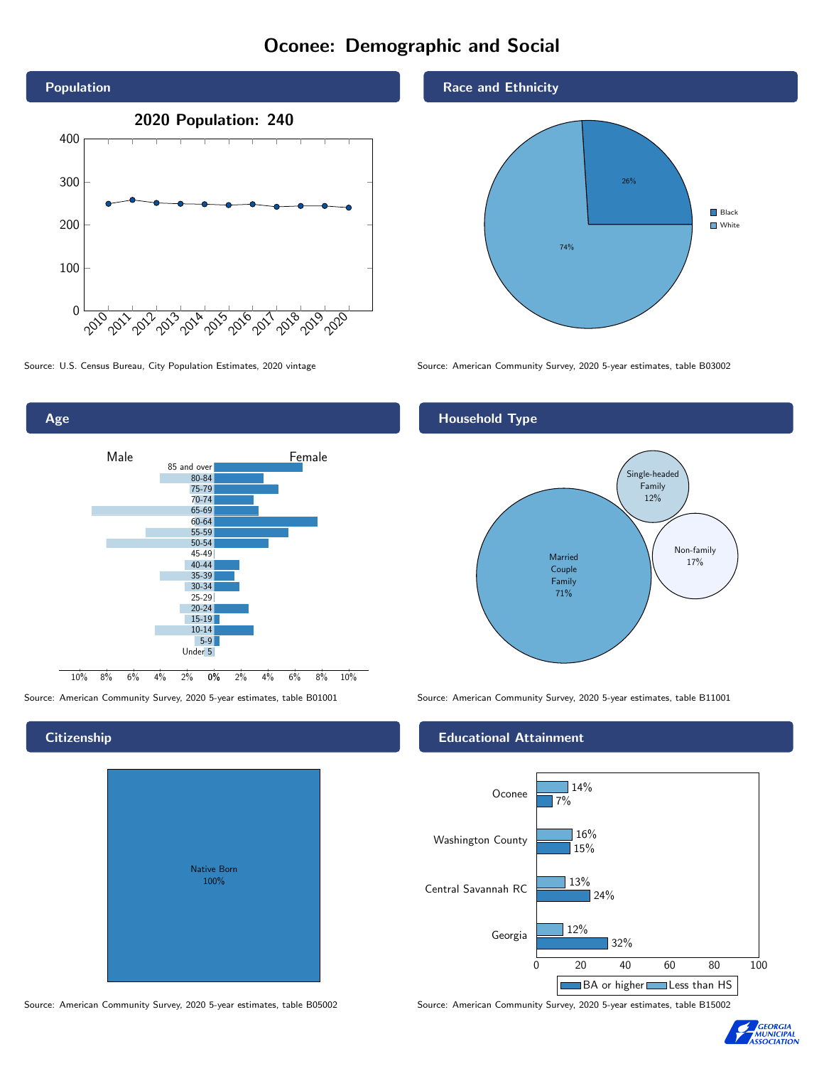# Oconee: Demographic and Social





## **Citizenship**

| <b>Native Born</b><br>100% |  |
|----------------------------|--|

Race and Ethnicity



Source: U.S. Census Bureau, City Population Estimates, 2020 vintage Source: American Community Survey, 2020 5-year estimates, table B03002

### Household Type



Source: American Community Survey, 2020 5-year estimates, table B01001 Source: American Community Survey, 2020 5-year estimates, table B11001

#### Educational Attainment



Source: American Community Survey, 2020 5-year estimates, table B05002 Source: American Community Survey, 2020 5-year estimates, table B15002

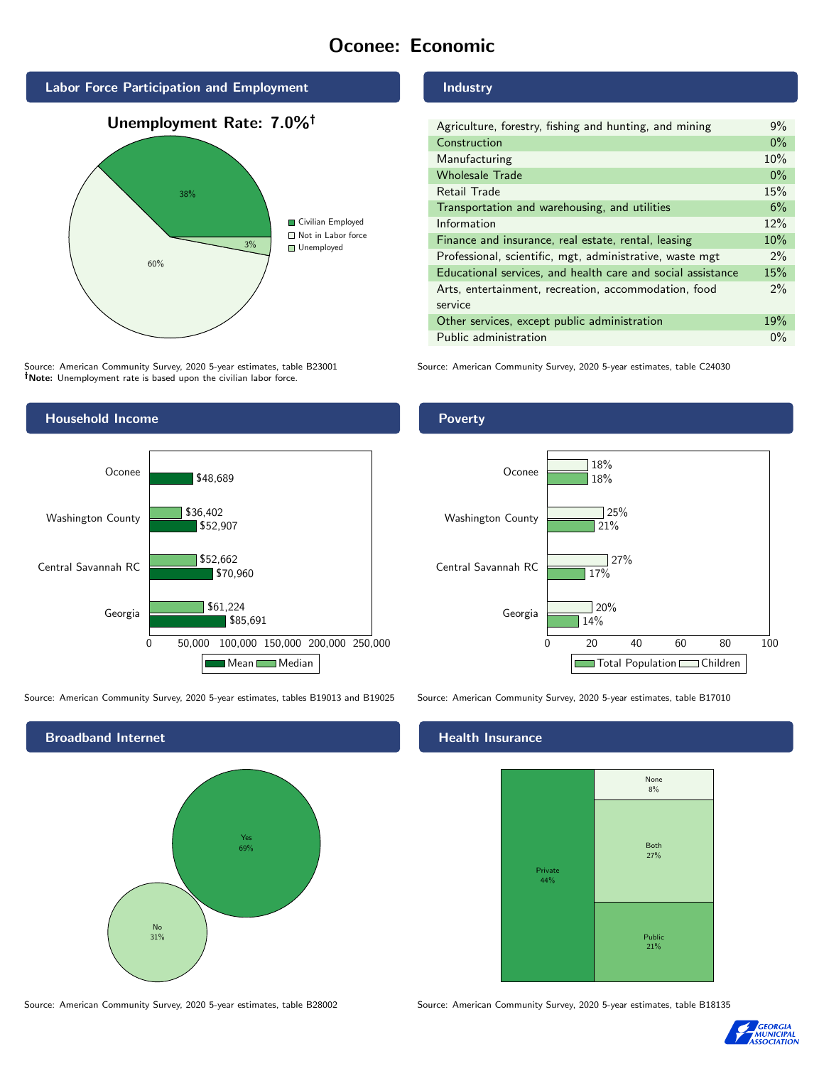# Oconee: Economic



Source: American Community Survey, 2020 5-year estimates, table B23001 Note: Unemployment rate is based upon the civilian labor force.



| Agriculture, forestry, fishing and hunting, and mining      | 9%    |
|-------------------------------------------------------------|-------|
| Construction                                                |       |
| Manufacturing                                               | 10%   |
| <b>Wholesale Trade</b>                                      | $0\%$ |
| Retail Trade                                                | 15%   |
| Transportation and warehousing, and utilities               |       |
| Information                                                 | 12%   |
| Finance and insurance, real estate, rental, leasing         |       |
| Professional, scientific, mgt, administrative, waste mgt    |       |
| Educational services, and health care and social assistance | 15%   |
| Arts, entertainment, recreation, accommodation, food        |       |
| service                                                     |       |
| Other services, except public administration                |       |
| Public administration                                       |       |

Source: American Community Survey, 2020 5-year estimates, table C24030



Source: American Community Survey, 2020 5-year estimates, tables B19013 and B19025 Source: American Community Survey, 2020 5-year estimates, table B17010



Poverty



## **Health Insurance**



Source: American Community Survey, 2020 5-year estimates, table B28002 Source: American Community Survey, 2020 5-year estimates, table B18135